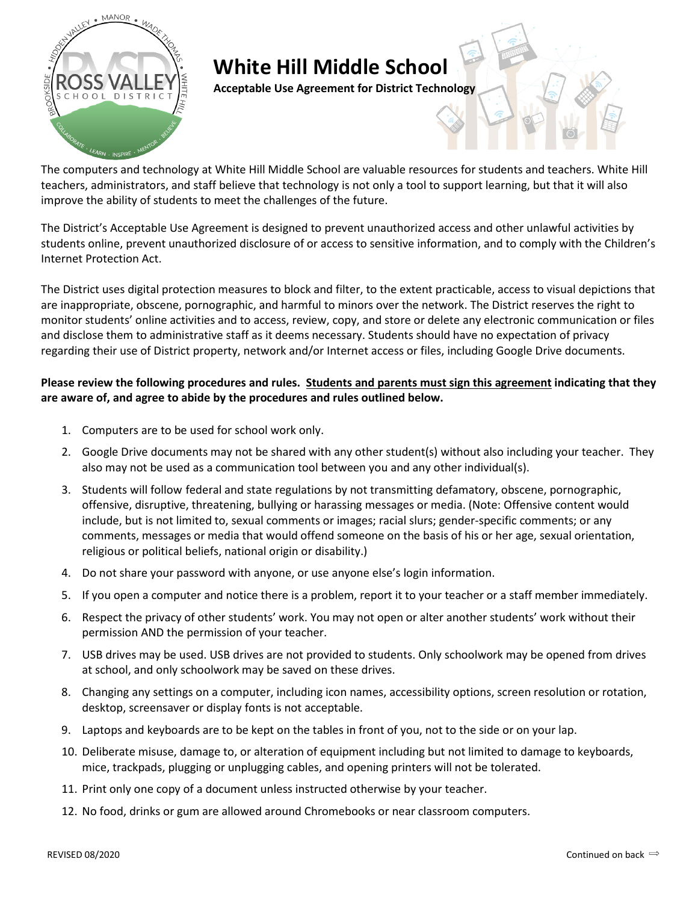

## **White Hill Middle School**

**Acceptable Use Agreement for District Technology**

The computers and technology at White Hill Middle School are valuable resources for students and teachers. White Hill teachers, administrators, and staff believe that technology is not only a tool to support learning, but that it will also improve the ability of students to meet the challenges of the future.

The District's Acceptable Use Agreement is designed to prevent unauthorized access and other unlawful activities by students online, prevent unauthorized disclosure of or access to sensitive information, and to comply with the Children's Internet Protection Act.

The District uses digital protection measures to block and filter, to the extent practicable, access to visual depictions that are inappropriate, obscene, pornographic, and harmful to minors over the network. The District reserves the right to monitor students' online activities and to access, review, copy, and store or delete any electronic communication or files and disclose them to administrative staff as it deems necessary. Students should have no expectation of privacy regarding their use of District property, network and/or Internet access or files, including Google Drive documents.

## **Please review the following procedures and rules. Students and parents must sign this agreement indicating that they are aware of, and agree to abide by the procedures and rules outlined below.**

- 1. Computers are to be used for school work only.
- 2. Google Drive documents may not be shared with any other student(s) without also including your teacher. They also may not be used as a communication tool between you and any other individual(s).
- 3. Students will follow federal and state regulations by not transmitting defamatory, obscene, pornographic, offensive, disruptive, threatening, bullying or harassing messages or media. (Note: Offensive content would include, but is not limited to, sexual comments or images; racial slurs; gender-specific comments; or any comments, messages or media that would offend someone on the basis of his or her age, sexual orientation, religious or political beliefs, national origin or disability.)
- 4. Do not share your password with anyone, or use anyone else's login information.
- 5. If you open a computer and notice there is a problem, report it to your teacher or a staff member immediately.
- 6. Respect the privacy of other students' work. You may not open or alter another students' work without their permission AND the permission of your teacher.
- 7. USB drives may be used. USB drives are not provided to students. Only schoolwork may be opened from drives at school, and only schoolwork may be saved on these drives.
- 8. Changing any settings on a computer, including icon names, accessibility options, screen resolution or rotation, desktop, screensaver or display fonts is not acceptable.
- 9. Laptops and keyboards are to be kept on the tables in front of you, not to the side or on your lap.
- 10. Deliberate misuse, damage to, or alteration of equipment including but not limited to damage to keyboards, mice, trackpads, plugging or unplugging cables, and opening printers will not be tolerated.
- 11. Print only one copy of a document unless instructed otherwise by your teacher.
- 12. No food, drinks or gum are allowed around Chromebooks or near classroom computers.